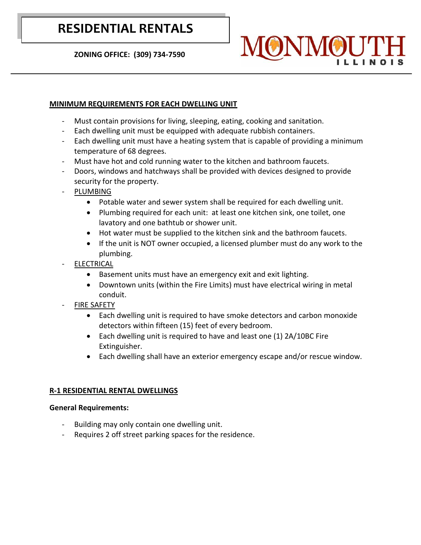# **RESIDENTIAL RENTALS**

 **ZONING OFFICE: (309) 734-7590**

# **MINIMUM REQUIREMENTS FOR EACH DWELLING UNIT**

- Must contain provisions for living, sleeping, eating, cooking and sanitation.
- Each dwelling unit must be equipped with adequate rubbish containers.
- Each dwelling unit must have a heating system that is capable of providing a minimum temperature of 68 degrees.
- Must have hot and cold running water to the kitchen and bathroom faucets.
- Doors, windows and hatchways shall be provided with devices designed to provide security for the property.
- PLUMBING
	- Potable water and sewer system shall be required for each dwelling unit.
	- Plumbing required for each unit: at least one kitchen sink, one toilet, one lavatory and one bathtub or shower unit.
	- Hot water must be supplied to the kitchen sink and the bathroom faucets.
	- If the unit is NOT owner occupied, a licensed plumber must do any work to the plumbing.
- **ELECTRICAL** 
	- Basement units must have an emergency exit and exit lighting.
	- Downtown units (within the Fire Limits) must have electrical wiring in metal conduit.
- **FIRE SAFETY** 
	- Each dwelling unit is required to have smoke detectors and carbon monoxide detectors within fifteen (15) feet of every bedroom.
	- Each dwelling unit is required to have and least one (1) 2A/10BC Fire Extinguisher.
	- Each dwelling shall have an exterior emergency escape and/or rescue window.

# **R-1 RESIDENTIAL RENTAL DWELLINGS**

# **General Requirements:**

- Building may only contain one dwelling unit.
- Requires 2 off street parking spaces for the residence.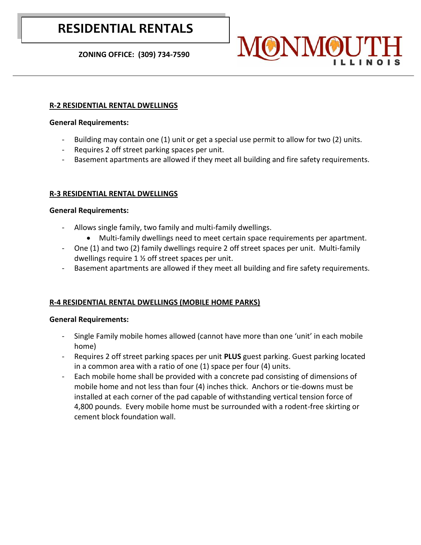# **RESIDENTIAL RENTALS**

 **ZONING OFFICE: (309) 734-7590**

## **R-2 RESIDENTIAL RENTAL DWELLINGS**

### **General Requirements:**

- Building may contain one (1) unit or get a special use permit to allow for two (2) units.
- Requires 2 off street parking spaces per unit.
- Basement apartments are allowed if they meet all building and fire safety requirements.

# **R-3 RESIDENTIAL RENTAL DWELLINGS**

### **General Requirements:**

- Allows single family, two family and multi-family dwellings.
	- Multi-family dwellings need to meet certain space requirements per apartment.
- One (1) and two (2) family dwellings require 2 off street spaces per unit. Multi-family dwellings require 1 ½ off street spaces per unit.
- Basement apartments are allowed if they meet all building and fire safety requirements.

# **R-4 RESIDENTIAL RENTAL DWELLINGS (MOBILE HOME PARKS)**

# **General Requirements:**

- Single Family mobile homes allowed (cannot have more than one 'unit' in each mobile home)
- Requires 2 off street parking spaces per unit **PLUS** guest parking. Guest parking located in a common area with a ratio of one (1) space per four (4) units.
- Each mobile home shall be provided with a concrete pad consisting of dimensions of mobile home and not less than four (4) inches thick. Anchors or tie-downs must be installed at each corner of the pad capable of withstanding vertical tension force of 4,800 pounds. Every mobile home must be surrounded with a rodent-free skirting or cement block foundation wall.